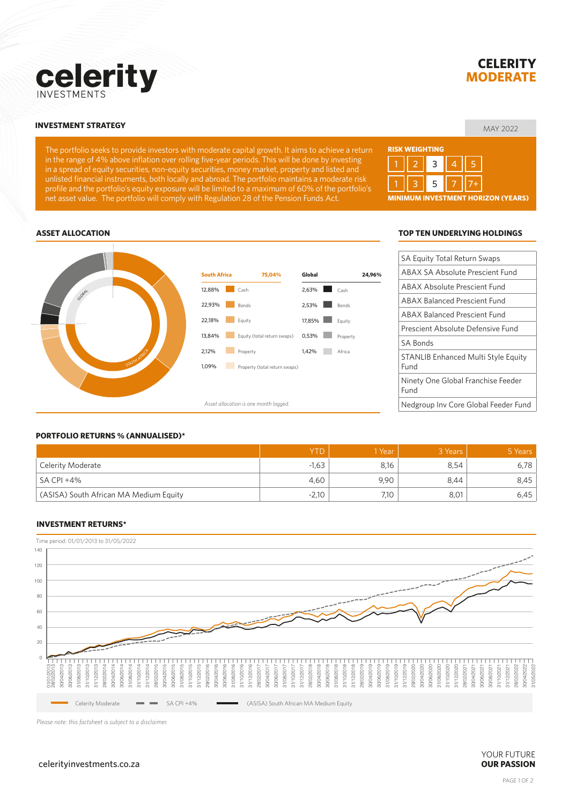

# **CELERITY MODERATE**

# MAY 2022 **INVESTMENT STRATEGY**

The portfolio seeks to provide investors with moderate capital growth. It aims to achieve a return in the range of 4% above inflation over rolling five-year periods. This will be done by investing in a spread of equity securities, non-equity securities, money market, property and listed and unlisted financial instruments, both locally and abroad. The portfolio maintains a moderate risk profile and the portfolio's equity exposure will be limited to a maximum of 60% of the portfolio's net asset value. The portfolio will comply with Regulation 28 of the Pension Funds Act.



# **ASSET ALLOCATION**



### **TOP TEN UNDERLYING HOLDINGS**

| <b>SA Equity Total Return Swaps</b>                |
|----------------------------------------------------|
| ABAX SA Absolute Prescient Fund                    |
| ABAX Absolute Prescient Fund                       |
| <b>ABAX Balanced Prescient Fund</b>                |
| <b>ABAX Balanced Prescient Fund</b>                |
| Prescient Absolute Defensive Fund                  |
| <b>SA Bonds</b>                                    |
| <b>STANLIB Enhanced Multi Style Equity</b><br>Fund |
| Ninety One Global Franchise Feeder<br>Fund         |
| Nedgroup Inv Core Global Feeder Fund               |

### **PORTFOLIO RETURNS % (ANNUALISED)\***

|                                        | YTD     | 1 Year | 3 Years | 5 Years |
|----------------------------------------|---------|--------|---------|---------|
| <b>Celerity Moderate</b>               | $-1,63$ | 8,16   | 8,54    | 6.78    |
| SA CPI +4%                             | 4,60    | 9,90   | 8,44    | 8,45    |
| (ASISA) South African MA Medium Equity | $-2,10$ | 7,10   | 8,01    | 6,45    |

### **INVESTMENT RETURNS\***



*Please note: this factsheet is subject to a disclaimer.*

### $celerityinvestments.co.za$